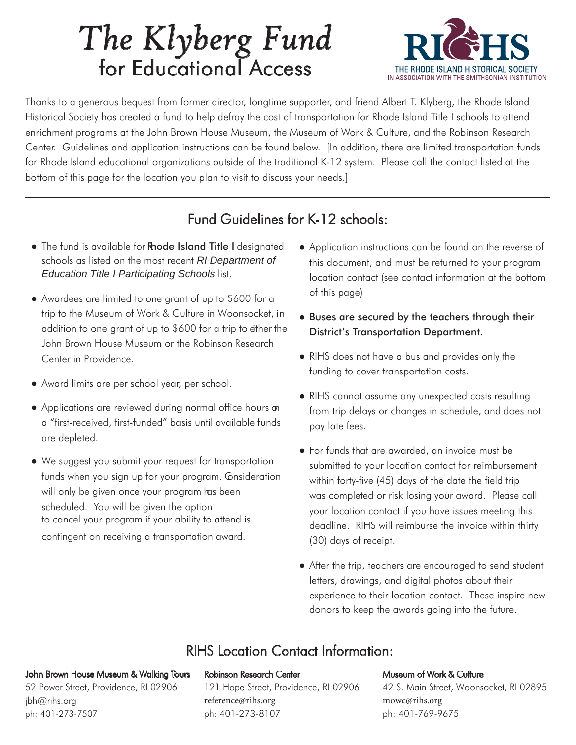# *The Klyberg Fund* for Educational Access



Thanks to a generous bequest from former director, longtime supporter, and friend Albert T. Klyberg, the Rhode Island Historical Society has created a fund to help defray the cost of transportation for Rhode Island Title I schools to attend enrichment programs at the John Brown House Museum, the Museum of Work & Culture, and the Robinson Research Center. Guidelines and application instructions can be found below. [In addition, there are limited transportation funds for Rhode Island educational organizations outside of the traditional K-12 system. Please call the contact listed at the bottom of this page for the location you plan to visit to discuss your needs.]

### Fund Guidelines for K-12 schools:

- The fund is available for Rhode Island Title I designated schools as listed on the most recent *RI Department of Education Title I Participating Schools* list.
- Awardees are limited to one grant of up to \$600 for a trip to the Museum of Work & Culture in Woonsocket, in addition to one grant of up to \$600 for a trip to either the John Brown House Museum or the Robinson Research Center in Providence.
- Award limits are per school year, per school.
- Applications are reviewed during normal office hours on a "first-received, first-funded" basis until available funds are depleted.
- We suggest you submit your request for transportation funds when you sign up for your program. Consideration will only be given once your program has been scheduled. You will be given the option to cancel your program if your ability to attend is contingent on receiving a transportation award.
- Application instructions can be found on the reverse of this document, and must be returned to your program location contact (see contact information at the bottom of this page)
- Buses are secured by the teachers through their District's Transportation Department.
- RIHS does not have a bus and provides only the funding to cover transportation costs.
- RIHS cannot assume any unexpected costs resulting from trip delays or changes in schedule, and does not pay late fees.
- For funds that are awarded, an invoice must be submitted to your location contact for reimbursement within forty-five (45) days of the date the field trip was completed or risk losing your award. Please call your location contact if you have issues meeting this deadline. RIHS will reimburse the invoice within thirty (30) days of receipt.
- After the trip, teachers are encouraged to send student letters, drawings, and digital photos about their experience to their location contact. These inspire new donors to keep the awards going into the future.

## RIHS Location Contact Information:

### John Brown House Museum & Walking Tours

52 Power Street, Providence, RI 02906 jbh@rihs.org ph: 401-273-7507

#### Robinson Research Center

121 Hope Street, Providence, RI 02906 reference@rihs.org ph: 401-273-8107

### Museum of Work & Culture

42 S. Main Street, Woonsocket, RI 02895 mowc@rihs.org ph: 401-769-9675